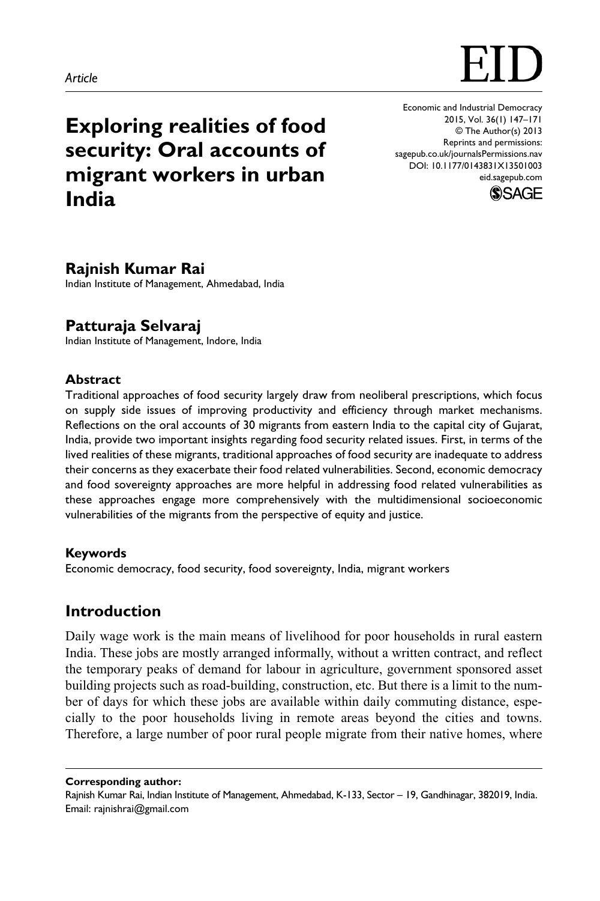Economic and Industrial Democracy 2015, Vol. 36(1) 147-171 © The Author(s) 2013 Reprints and permissions: sagepub.co.uk/journalsPermissions.nav DOI: 10.1177/0143831X13501003 eid.sagepub.com



# **Exploring realities of food security: Oral accounts of migrant workers in urban India**

# **Rajnish Kumar Rai**

Indian Institute of Management, Ahmedabad, India

# **Patturaja Selvaraj**

Indian Institute of Management, Indore, India

#### **Abstract**

Traditional approaches of food security largely draw from neoliberal prescriptions, which focus on supply side issues of improving productivity and efficiency through market mechanisms. Reflections on the oral accounts of 30 migrants from eastern India to the capital city of Gujarat, India, provide two important insights regarding food security related issues. First, in terms of the lived realities of these migrants, traditional approaches of food security are inadequate to address their concerns as they exacerbate their food related vulnerabilities. Second, economic democracy and food sovereignty approaches are more helpful in addressing food related vulnerabilities as these approaches engage more comprehensively with the multidimensional socioeconomic vulnerabilities of the migrants from the perspective of equity and justice.

### **Keywords**

Economic democracy, food security, food sovereignty, India, migrant workers

# **Introduction**

Daily wage work is the main means of livelihood for poor households in rural eastern India. These jobs are mostly arranged informally, without a written contract, and reflect the temporary peaks of demand for labour in agriculture, government sponsored asset building projects such as road-building, construction, etc. But there is a limit to the number of days for which these jobs are available within daily commuting distance, especially to the poor households living in remote areas beyond the cities and towns. Therefore, a large number of poor rural people migrate from their native homes, where

#### **Corresponding author:**

Rajnish Kumar Rai, Indian Institute of Management, Ahmedabad, K-133, Sector – 19, Gandhinagar, 382019, India. Email: rajnishrai@gmail.com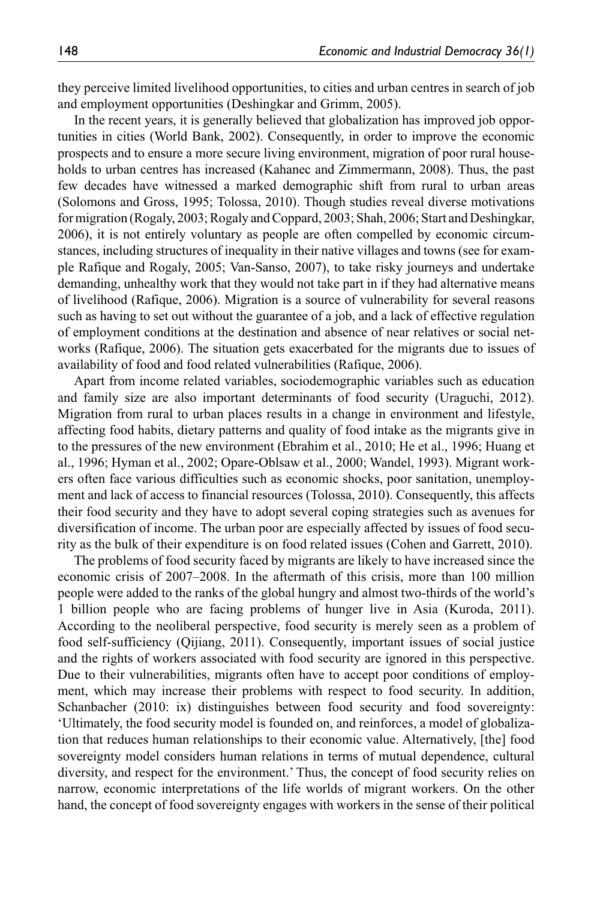they perceive limited livelihood opportunities, to cities and urban centres in search of job and employment opportunities (Deshingkar and Grimm, 2005).

In the recent years, it is generally believed that globalization has improved job opportunities in cities (World Bank, 2002). Consequently, in order to improve the economic prospects and to ensure a more secure living environment, migration of poor rural households to urban centres has increased (Kahanec and Zimmermann, 2008). Thus, the past few decades have witnessed a marked demographic shift from rural to urban areas (Solomons and Gross, 1995; Tolossa, 2010). Though studies reveal diverse motivations for migration (Rogaly, 2003; Rogaly and Coppard, 2003; Shah, 2006; Start and Deshingkar, 2006), it is not entirely voluntary as people are often compelled by economic circumstances, including structures of inequality in their native villages and towns (see for example Rafique and Rogaly, 2005; Van-Sanso, 2007), to take risky journeys and undertake demanding, unhealthy work that they would not take part in if they had alternative means of livelihood (Rafique, 2006). Migration is a source of vulnerability for several reasons such as having to set out without the guarantee of a job, and a lack of effective regulation of employment conditions at the destination and absence of near relatives or social networks (Rafique, 2006). The situation gets exacerbated for the migrants due to issues of availability of food and food related vulnerabilities (Rafique, 2006).

Apart from income related variables, sociodemographic variables such as education and family size are also important determinants of food security (Uraguchi, 2012). Migration from rural to urban places results in a change in environment and lifestyle, affecting food habits, dietary patterns and quality of food intake as the migrants give in to the pressures of the new environment (Ebrahim et al., 2010; He et al., 1996; Huang et al., 1996; Hyman et al., 2002; Opare-Oblsaw et al., 2000; Wandel, 1993). Migrant workers often face various difficulties such as economic shocks, poor sanitation, unemployment and lack of access to financial resources (Tolossa, 2010). Consequently, this affects their food security and they have to adopt several coping strategies such as avenues for diversification of income. The urban poor are especially affected by issues of food security as the bulk of their expenditure is on food related issues (Cohen and Garrett, 2010).

The problems of food security faced by migrants are likely to have increased since the economic crisis of 2007–2008. In the aftermath of this crisis, more than 100 million people were added to the ranks of the global hungry and almost two-thirds of the world's 1 billion people who are facing problems of hunger live in Asia (Kuroda, 2011). According to the neoliberal perspective, food security is merely seen as a problem of food self-sufficiency (Qijiang, 2011). Consequently, important issues of social justice and the rights of workers associated with food security are ignored in this perspective. Due to their vulnerabilities, migrants often have to accept poor conditions of employment, which may increase their problems with respect to food security. In addition, Schanbacher (2010: ix) distinguishes between food security and food sovereignty: 'Ultimately, the food security model is founded on, and reinforces, a model of globalization that reduces human relationships to their economic value. Alternatively, [the] food sovereignty model considers human relations in terms of mutual dependence, cultural diversity, and respect for the environment.' Thus, the concept of food security relies on narrow, economic interpretations of the life worlds of migrant workers. On the other hand, the concept of food sovereignty engages with workers in the sense of their political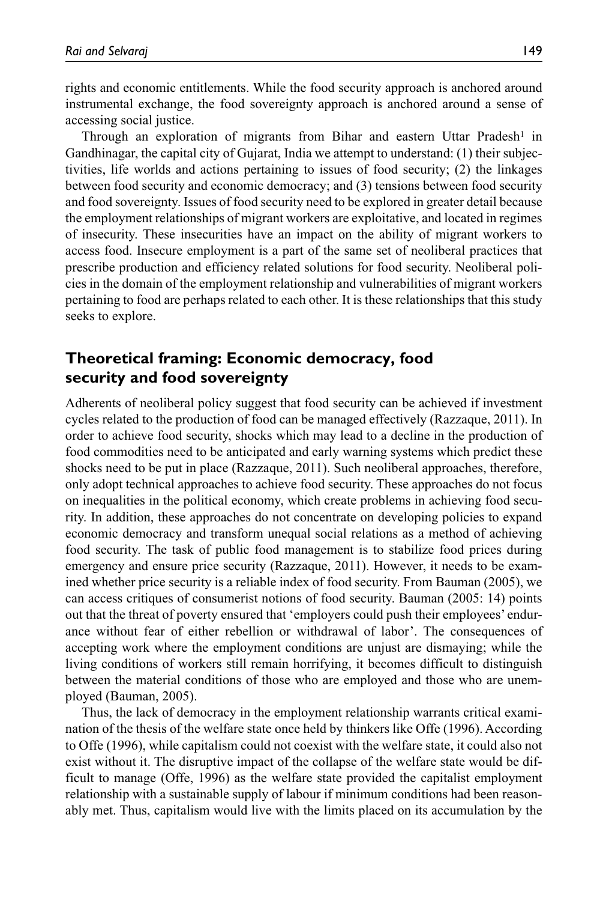rights and economic entitlements. While the food security approach is anchored around instrumental exchange, the food sovereignty approach is anchored around a sense of accessing social justice.

Through an exploration of migrants from Bihar and eastern Uttar Pradesh<sup>1</sup> in Gandhinagar, the capital city of Gujarat, India we attempt to understand: (1) their subjectivities, life worlds and actions pertaining to issues of food security; (2) the linkages between food security and economic democracy; and (3) tensions between food security and food sovereignty. Issues of food security need to be explored in greater detail because the employment relationships of migrant workers are exploitative, and located in regimes of insecurity. These insecurities have an impact on the ability of migrant workers to access food. Insecure employment is a part of the same set of neoliberal practices that prescribe production and efficiency related solutions for food security. Neoliberal policies in the domain of the employment relationship and vulnerabilities of migrant workers pertaining to food are perhaps related to each other. It is these relationships that this study seeks to explore.

# **Theoretical framing: Economic democracy, food security and food sovereignty**

Adherents of neoliberal policy suggest that food security can be achieved if investment cycles related to the production of food can be managed effectively (Razzaque, 2011). In order to achieve food security, shocks which may lead to a decline in the production of food commodities need to be anticipated and early warning systems which predict these shocks need to be put in place (Razzaque, 2011). Such neoliberal approaches, therefore, only adopt technical approaches to achieve food security. These approaches do not focus on inequalities in the political economy, which create problems in achieving food security. In addition, these approaches do not concentrate on developing policies to expand economic democracy and transform unequal social relations as a method of achieving food security. The task of public food management is to stabilize food prices during emergency and ensure price security (Razzaque, 2011). However, it needs to be examined whether price security is a reliable index of food security. From Bauman (2005), we can access critiques of consumerist notions of food security. Bauman (2005: 14) points out that the threat of poverty ensured that 'employers could push their employees' endurance without fear of either rebellion or withdrawal of labor'. The consequences of accepting work where the employment conditions are unjust are dismaying; while the living conditions of workers still remain horrifying, it becomes difficult to distinguish between the material conditions of those who are employed and those who are unemployed (Bauman, 2005).

Thus, the lack of democracy in the employment relationship warrants critical examination of the thesis of the welfare state once held by thinkers like Offe (1996). According to Offe (1996), while capitalism could not coexist with the welfare state, it could also not exist without it. The disruptive impact of the collapse of the welfare state would be difficult to manage (Offe, 1996) as the welfare state provided the capitalist employment relationship with a sustainable supply of labour if minimum conditions had been reasonably met. Thus, capitalism would live with the limits placed on its accumulation by the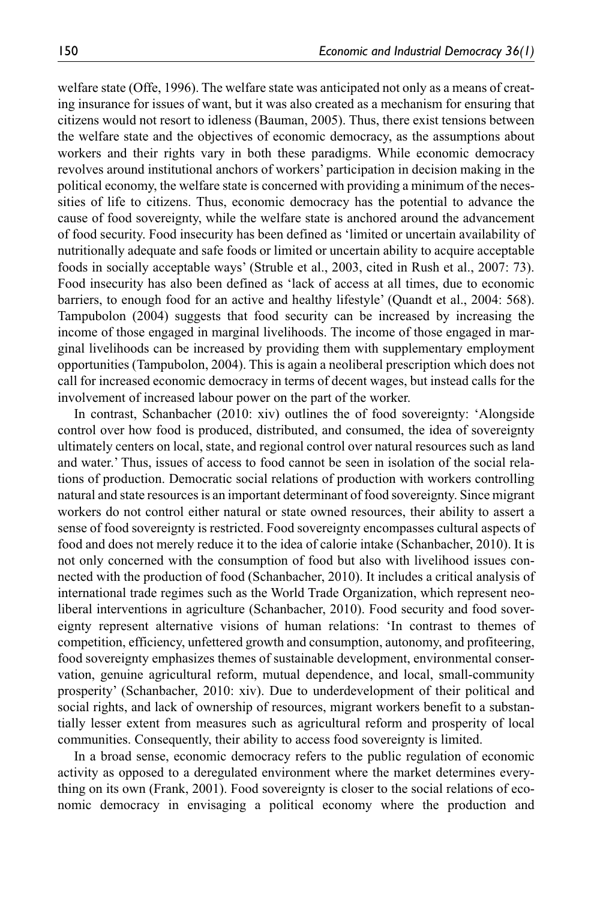welfare state (Offe, 1996). The welfare state was anticipated not only as a means of creating insurance for issues of want, but it was also created as a mechanism for ensuring that citizens would not resort to idleness (Bauman, 2005). Thus, there exist tensions between the welfare state and the objectives of economic democracy, as the assumptions about workers and their rights vary in both these paradigms. While economic democracy revolves around institutional anchors of workers' participation in decision making in the political economy, the welfare state is concerned with providing a minimum of the necessities of life to citizens. Thus, economic democracy has the potential to advance the cause of food sovereignty, while the welfare state is anchored around the advancement of food security. Food insecurity has been defined as 'limited or uncertain availability of nutritionally adequate and safe foods or limited or uncertain ability to acquire acceptable foods in socially acceptable ways' (Struble et al., 2003, cited in Rush et al., 2007: 73). Food insecurity has also been defined as 'lack of access at all times, due to economic barriers, to enough food for an active and healthy lifestyle' (Quandt et al., 2004: 568). Tampubolon (2004) suggests that food security can be increased by increasing the income of those engaged in marginal livelihoods. The income of those engaged in marginal livelihoods can be increased by providing them with supplementary employment opportunities (Tampubolon, 2004). This is again a neoliberal prescription which does not call for increased economic democracy in terms of decent wages, but instead calls for the involvement of increased labour power on the part of the worker.

In contrast, Schanbacher (2010: xiv) outlines the of food sovereignty: 'Alongside control over how food is produced, distributed, and consumed, the idea of sovereignty ultimately centers on local, state, and regional control over natural resources such as land and water.' Thus, issues of access to food cannot be seen in isolation of the social relations of production. Democratic social relations of production with workers controlling natural and state resources is an important determinant of food sovereignty. Since migrant workers do not control either natural or state owned resources, their ability to assert a sense of food sovereignty is restricted. Food sovereignty encompasses cultural aspects of food and does not merely reduce it to the idea of calorie intake (Schanbacher, 2010). It is not only concerned with the consumption of food but also with livelihood issues connected with the production of food (Schanbacher, 2010). It includes a critical analysis of international trade regimes such as the World Trade Organization, which represent neoliberal interventions in agriculture (Schanbacher, 2010). Food security and food sovereignty represent alternative visions of human relations: 'In contrast to themes of competition, efficiency, unfettered growth and consumption, autonomy, and profiteering, food sovereignty emphasizes themes of sustainable development, environmental conservation, genuine agricultural reform, mutual dependence, and local, small-community prosperity' (Schanbacher, 2010: xiv). Due to underdevelopment of their political and social rights, and lack of ownership of resources, migrant workers benefit to a substantially lesser extent from measures such as agricultural reform and prosperity of local communities. Consequently, their ability to access food sovereignty is limited.

In a broad sense, economic democracy refers to the public regulation of economic activity as opposed to a deregulated environment where the market determines everything on its own (Frank, 2001). Food sovereignty is closer to the social relations of economic democracy in envisaging a political economy where the production and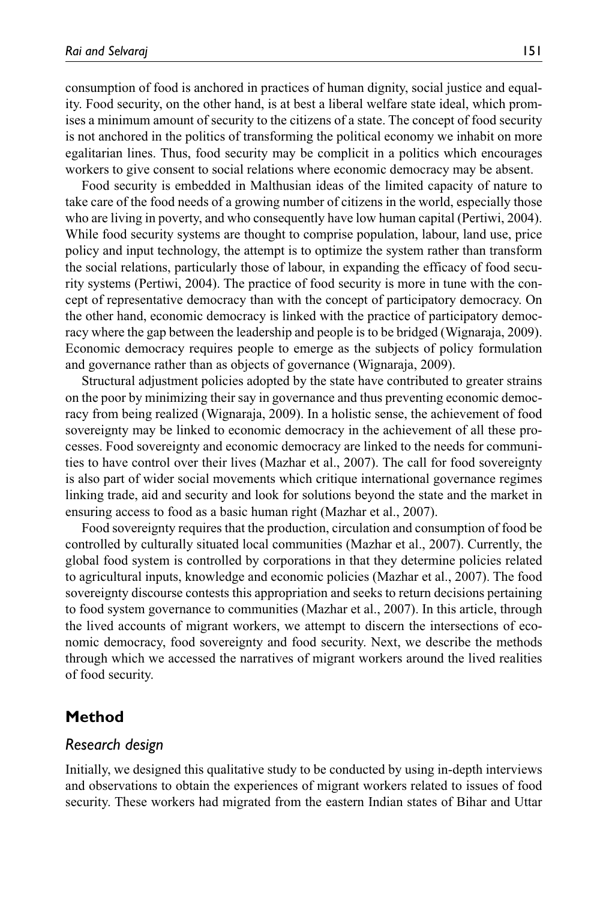consumption of food is anchored in practices of human dignity, social justice and equality. Food security, on the other hand, is at best a liberal welfare state ideal, which promises a minimum amount of security to the citizens of a state. The concept of food security is not anchored in the politics of transforming the political economy we inhabit on more egalitarian lines. Thus, food security may be complicit in a politics which encourages workers to give consent to social relations where economic democracy may be absent.

Food security is embedded in Malthusian ideas of the limited capacity of nature to take care of the food needs of a growing number of citizens in the world, especially those who are living in poverty, and who consequently have low human capital (Pertiwi, 2004). While food security systems are thought to comprise population, labour, land use, price policy and input technology, the attempt is to optimize the system rather than transform the social relations, particularly those of labour, in expanding the efficacy of food security systems (Pertiwi, 2004). The practice of food security is more in tune with the concept of representative democracy than with the concept of participatory democracy. On the other hand, economic democracy is linked with the practice of participatory democracy where the gap between the leadership and people is to be bridged (Wignaraja, 2009). Economic democracy requires people to emerge as the subjects of policy formulation and governance rather than as objects of governance (Wignaraja, 2009).

Structural adjustment policies adopted by the state have contributed to greater strains on the poor by minimizing their say in governance and thus preventing economic democracy from being realized (Wignaraja, 2009). In a holistic sense, the achievement of food sovereignty may be linked to economic democracy in the achievement of all these processes. Food sovereignty and economic democracy are linked to the needs for communities to have control over their lives (Mazhar et al., 2007). The call for food sovereignty is also part of wider social movements which critique international governance regimes linking trade, aid and security and look for solutions beyond the state and the market in ensuring access to food as a basic human right (Mazhar et al., 2007).

Food sovereignty requires that the production, circulation and consumption of food be controlled by culturally situated local communities (Mazhar et al., 2007). Currently, the global food system is controlled by corporations in that they determine policies related to agricultural inputs, knowledge and economic policies (Mazhar et al., 2007). The food sovereignty discourse contests this appropriation and seeks to return decisions pertaining to food system governance to communities (Mazhar et al., 2007). In this article, through the lived accounts of migrant workers, we attempt to discern the intersections of economic democracy, food sovereignty and food security. Next, we describe the methods through which we accessed the narratives of migrant workers around the lived realities of food security.

# **Method**

#### *Research design*

Initially, we designed this qualitative study to be conducted by using in-depth interviews and observations to obtain the experiences of migrant workers related to issues of food security. These workers had migrated from the eastern Indian states of Bihar and Uttar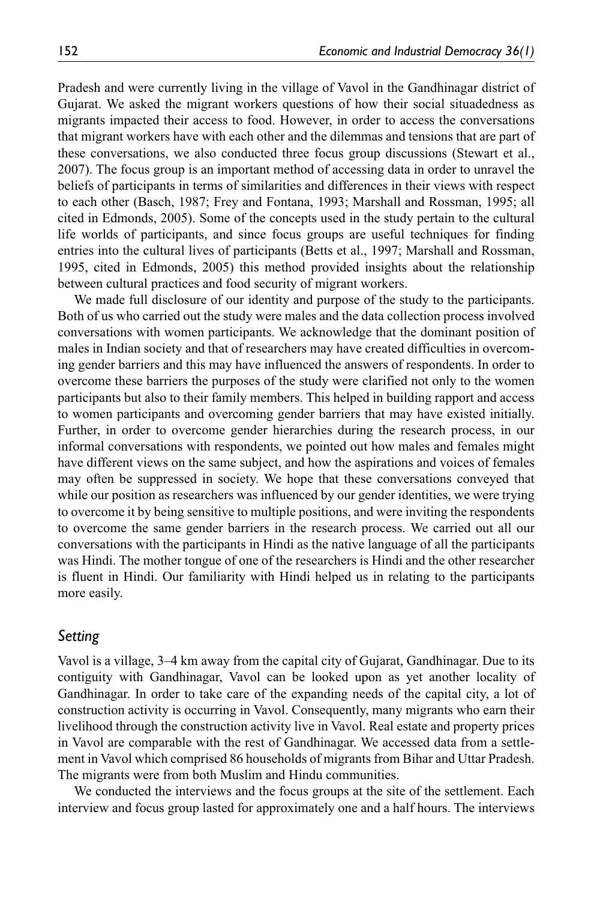Pradesh and were currently living in the village of Vavol in the Gandhinagar district of Gujarat. We asked the migrant workers questions of how their social situadedness as migrants impacted their access to food. However, in order to access the conversations that migrant workers have with each other and the dilemmas and tensions that are part of these conversations, we also conducted three focus group discussions (Stewart et al., 2007). The focus group is an important method of accessing data in order to unravel the beliefs of participants in terms of similarities and differences in their views with respect to each other (Basch, 1987; Frey and Fontana, 1993; Marshall and Rossman, 1995; all cited in Edmonds, 2005). Some of the concepts used in the study pertain to the cultural life worlds of participants, and since focus groups are useful techniques for finding entries into the cultural lives of participants (Betts et al., 1997; Marshall and Rossman, 1995, cited in Edmonds, 2005) this method provided insights about the relationship between cultural practices and food security of migrant workers.

We made full disclosure of our identity and purpose of the study to the participants. Both of us who carried out the study were males and the data collection process involved conversations with women participants. We acknowledge that the dominant position of males in Indian society and that of researchers may have created difficulties in overcoming gender barriers and this may have influenced the answers of respondents. In order to overcome these barriers the purposes of the study were clarified not only to the women participants but also to their family members. This helped in building rapport and access to women participants and overcoming gender barriers that may have existed initially. Further, in order to overcome gender hierarchies during the research process, in our informal conversations with respondents, we pointed out how males and females might have different views on the same subject, and how the aspirations and voices of females may often be suppressed in society. We hope that these conversations conveyed that while our position as researchers was influenced by our gender identities, we were trying to overcome it by being sensitive to multiple positions, and were inviting the respondents to overcome the same gender barriers in the research process. We carried out all our conversations with the participants in Hindi as the native language of all the participants was Hindi. The mother tongue of one of the researchers is Hindi and the other researcher is fluent in Hindi. Our familiarity with Hindi helped us in relating to the participants more easily.

#### *Setting*

Vavol is a village, 3–4 km away from the capital city of Gujarat, Gandhinagar. Due to its contiguity with Gandhinagar, Vavol can be looked upon as yet another locality of Gandhinagar. In order to take care of the expanding needs of the capital city, a lot of construction activity is occurring in Vavol. Consequently, many migrants who earn their livelihood through the construction activity live in Vavol. Real estate and property prices in Vavol are comparable with the rest of Gandhinagar. We accessed data from a settlement in Vavol which comprised 86 households of migrants from Bihar and Uttar Pradesh. The migrants were from both Muslim and Hindu communities.

We conducted the interviews and the focus groups at the site of the settlement. Each interview and focus group lasted for approximately one and a half hours. The interviews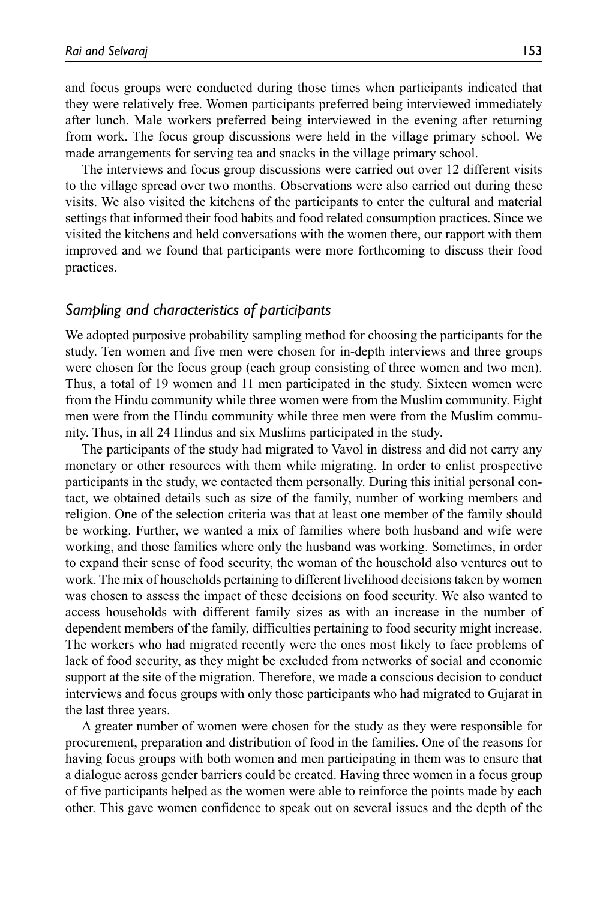and focus groups were conducted during those times when participants indicated that they were relatively free. Women participants preferred being interviewed immediately after lunch. Male workers preferred being interviewed in the evening after returning from work. The focus group discussions were held in the village primary school. We made arrangements for serving tea and snacks in the village primary school.

The interviews and focus group discussions were carried out over 12 different visits to the village spread over two months. Observations were also carried out during these visits. We also visited the kitchens of the participants to enter the cultural and material settings that informed their food habits and food related consumption practices. Since we visited the kitchens and held conversations with the women there, our rapport with them improved and we found that participants were more forthcoming to discuss their food practices.

#### *Sampling and characteristics of participants*

We adopted purposive probability sampling method for choosing the participants for the study. Ten women and five men were chosen for in-depth interviews and three groups were chosen for the focus group (each group consisting of three women and two men). Thus, a total of 19 women and 11 men participated in the study. Sixteen women were from the Hindu community while three women were from the Muslim community. Eight men were from the Hindu community while three men were from the Muslim community. Thus, in all 24 Hindus and six Muslims participated in the study.

The participants of the study had migrated to Vavol in distress and did not carry any monetary or other resources with them while migrating. In order to enlist prospective participants in the study, we contacted them personally. During this initial personal contact, we obtained details such as size of the family, number of working members and religion. One of the selection criteria was that at least one member of the family should be working. Further, we wanted a mix of families where both husband and wife were working, and those families where only the husband was working. Sometimes, in order to expand their sense of food security, the woman of the household also ventures out to work. The mix of households pertaining to different livelihood decisions taken by women was chosen to assess the impact of these decisions on food security. We also wanted to access households with different family sizes as with an increase in the number of dependent members of the family, difficulties pertaining to food security might increase. The workers who had migrated recently were the ones most likely to face problems of lack of food security, as they might be excluded from networks of social and economic support at the site of the migration. Therefore, we made a conscious decision to conduct interviews and focus groups with only those participants who had migrated to Gujarat in the last three years.

A greater number of women were chosen for the study as they were responsible for procurement, preparation and distribution of food in the families. One of the reasons for having focus groups with both women and men participating in them was to ensure that a dialogue across gender barriers could be created. Having three women in a focus group of five participants helped as the women were able to reinforce the points made by each other. This gave women confidence to speak out on several issues and the depth of the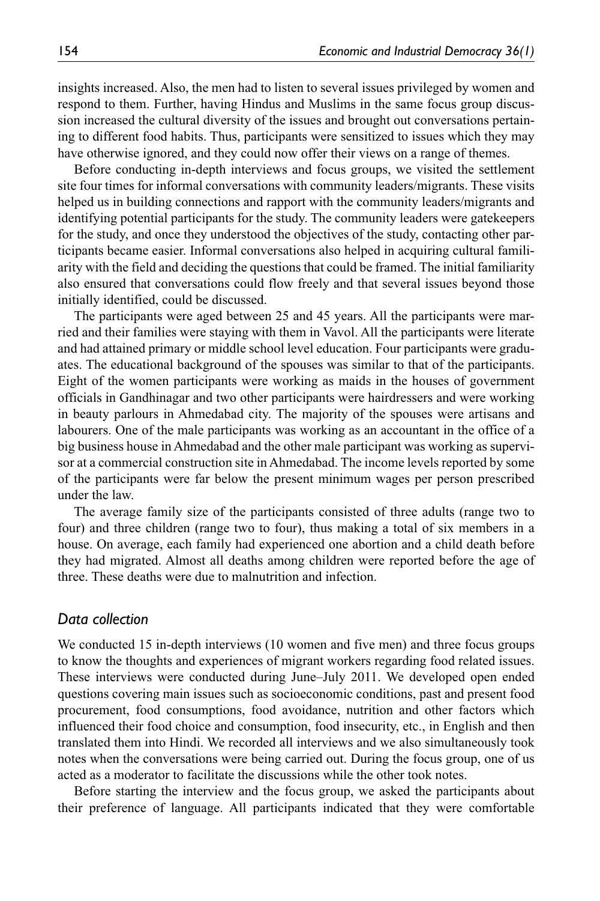insights increased. Also, the men had to listen to several issues privileged by women and respond to them. Further, having Hindus and Muslims in the same focus group discussion increased the cultural diversity of the issues and brought out conversations pertaining to different food habits. Thus, participants were sensitized to issues which they may have otherwise ignored, and they could now offer their views on a range of themes.

Before conducting in-depth interviews and focus groups, we visited the settlement site four times for informal conversations with community leaders/migrants. These visits helped us in building connections and rapport with the community leaders/migrants and identifying potential participants for the study. The community leaders were gatekeepers for the study, and once they understood the objectives of the study, contacting other participants became easier. Informal conversations also helped in acquiring cultural familiarity with the field and deciding the questions that could be framed. The initial familiarity also ensured that conversations could flow freely and that several issues beyond those initially identified, could be discussed.

The participants were aged between 25 and 45 years. All the participants were married and their families were staying with them in Vavol. All the participants were literate and had attained primary or middle school level education. Four participants were graduates. The educational background of the spouses was similar to that of the participants. Eight of the women participants were working as maids in the houses of government officials in Gandhinagar and two other participants were hairdressers and were working in beauty parlours in Ahmedabad city. The majority of the spouses were artisans and labourers. One of the male participants was working as an accountant in the office of a big business house in Ahmedabad and the other male participant was working as supervisor at a commercial construction site in Ahmedabad. The income levels reported by some of the participants were far below the present minimum wages per person prescribed under the law.

The average family size of the participants consisted of three adults (range two to four) and three children (range two to four), thus making a total of six members in a house. On average, each family had experienced one abortion and a child death before they had migrated. Almost all deaths among children were reported before the age of three. These deaths were due to malnutrition and infection.

#### *Data collection*

We conducted 15 in-depth interviews (10 women and five men) and three focus groups to know the thoughts and experiences of migrant workers regarding food related issues. These interviews were conducted during June–July 2011. We developed open ended questions covering main issues such as socioeconomic conditions, past and present food procurement, food consumptions, food avoidance, nutrition and other factors which influenced their food choice and consumption, food insecurity, etc., in English and then translated them into Hindi. We recorded all interviews and we also simultaneously took notes when the conversations were being carried out. During the focus group, one of us acted as a moderator to facilitate the discussions while the other took notes.

Before starting the interview and the focus group, we asked the participants about their preference of language. All participants indicated that they were comfortable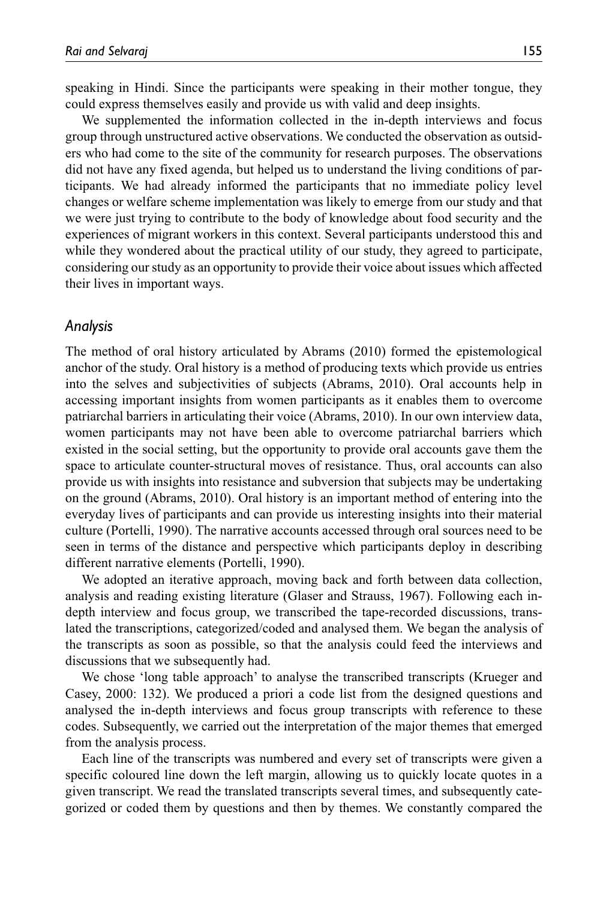speaking in Hindi. Since the participants were speaking in their mother tongue, they could express themselves easily and provide us with valid and deep insights.

We supplemented the information collected in the in-depth interviews and focus group through unstructured active observations. We conducted the observation as outsiders who had come to the site of the community for research purposes. The observations did not have any fixed agenda, but helped us to understand the living conditions of participants. We had already informed the participants that no immediate policy level changes or welfare scheme implementation was likely to emerge from our study and that we were just trying to contribute to the body of knowledge about food security and the experiences of migrant workers in this context. Several participants understood this and while they wondered about the practical utility of our study, they agreed to participate, considering our study as an opportunity to provide their voice about issues which affected their lives in important ways.

#### *Analysis*

The method of oral history articulated by Abrams (2010) formed the epistemological anchor of the study. Oral history is a method of producing texts which provide us entries into the selves and subjectivities of subjects (Abrams, 2010). Oral accounts help in accessing important insights from women participants as it enables them to overcome patriarchal barriers in articulating their voice (Abrams, 2010). In our own interview data, women participants may not have been able to overcome patriarchal barriers which existed in the social setting, but the opportunity to provide oral accounts gave them the space to articulate counter-structural moves of resistance. Thus, oral accounts can also provide us with insights into resistance and subversion that subjects may be undertaking on the ground (Abrams, 2010). Oral history is an important method of entering into the everyday lives of participants and can provide us interesting insights into their material culture (Portelli, 1990). The narrative accounts accessed through oral sources need to be seen in terms of the distance and perspective which participants deploy in describing different narrative elements (Portelli, 1990).

We adopted an iterative approach, moving back and forth between data collection, analysis and reading existing literature (Glaser and Strauss, 1967). Following each indepth interview and focus group, we transcribed the tape-recorded discussions, translated the transcriptions, categorized/coded and analysed them. We began the analysis of the transcripts as soon as possible, so that the analysis could feed the interviews and discussions that we subsequently had.

We chose 'long table approach' to analyse the transcribed transcripts (Krueger and Casey, 2000: 132). We produced a priori a code list from the designed questions and analysed the in-depth interviews and focus group transcripts with reference to these codes. Subsequently, we carried out the interpretation of the major themes that emerged from the analysis process.

Each line of the transcripts was numbered and every set of transcripts were given a specific coloured line down the left margin, allowing us to quickly locate quotes in a given transcript. We read the translated transcripts several times, and subsequently categorized or coded them by questions and then by themes. We constantly compared the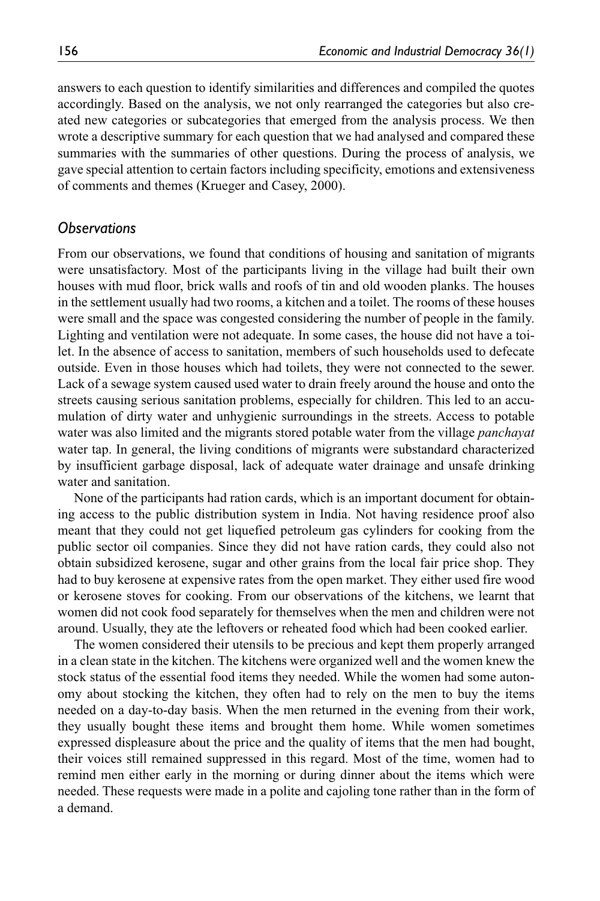answers to each question to identify similarities and differences and compiled the quotes accordingly. Based on the analysis, we not only rearranged the categories but also created new categories or subcategories that emerged from the analysis process. We then wrote a descriptive summary for each question that we had analysed and compared these summaries with the summaries of other questions. During the process of analysis, we gave special attention to certain factors including specificity, emotions and extensiveness of comments and themes (Krueger and Casey, 2000).

### *Observations*

From our observations, we found that conditions of housing and sanitation of migrants were unsatisfactory. Most of the participants living in the village had built their own houses with mud floor, brick walls and roofs of tin and old wooden planks. The houses in the settlement usually had two rooms, a kitchen and a toilet. The rooms of these houses were small and the space was congested considering the number of people in the family. Lighting and ventilation were not adequate. In some cases, the house did not have a toilet. In the absence of access to sanitation, members of such households used to defecate outside. Even in those houses which had toilets, they were not connected to the sewer. Lack of a sewage system caused used water to drain freely around the house and onto the streets causing serious sanitation problems, especially for children. This led to an accumulation of dirty water and unhygienic surroundings in the streets. Access to potable water was also limited and the migrants stored potable water from the village *panchayat* water tap. In general, the living conditions of migrants were substandard characterized by insufficient garbage disposal, lack of adequate water drainage and unsafe drinking water and sanitation.

None of the participants had ration cards, which is an important document for obtaining access to the public distribution system in India. Not having residence proof also meant that they could not get liquefied petroleum gas cylinders for cooking from the public sector oil companies. Since they did not have ration cards, they could also not obtain subsidized kerosene, sugar and other grains from the local fair price shop. They had to buy kerosene at expensive rates from the open market. They either used fire wood or kerosene stoves for cooking. From our observations of the kitchens, we learnt that women did not cook food separately for themselves when the men and children were not around. Usually, they ate the leftovers or reheated food which had been cooked earlier.

The women considered their utensils to be precious and kept them properly arranged in a clean state in the kitchen. The kitchens were organized well and the women knew the stock status of the essential food items they needed. While the women had some autonomy about stocking the kitchen, they often had to rely on the men to buy the items needed on a day-to-day basis. When the men returned in the evening from their work, they usually bought these items and brought them home. While women sometimes expressed displeasure about the price and the quality of items that the men had bought, their voices still remained suppressed in this regard. Most of the time, women had to remind men either early in the morning or during dinner about the items which were needed. These requests were made in a polite and cajoling tone rather than in the form of a demand.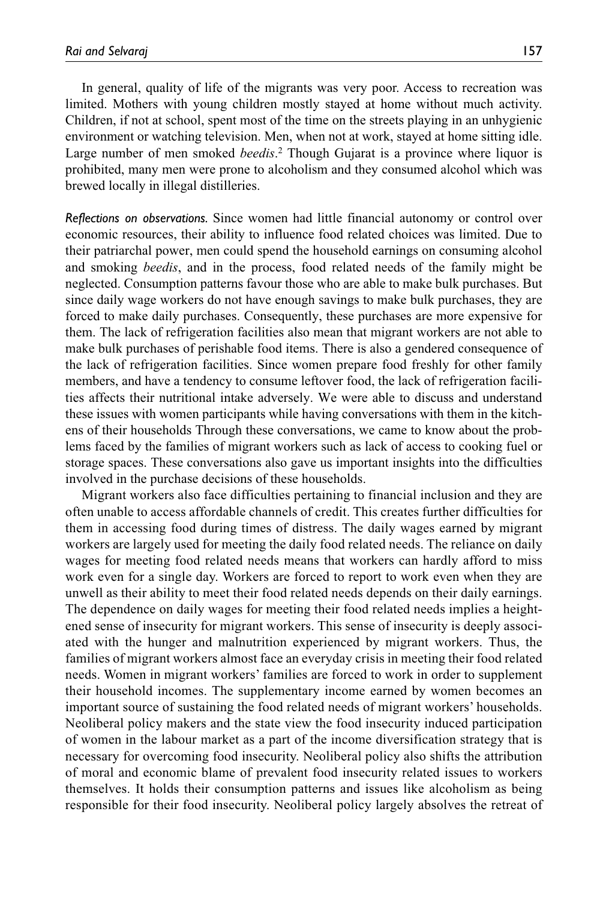In general, quality of life of the migrants was very poor. Access to recreation was limited. Mothers with young children mostly stayed at home without much activity. Children, if not at school, spent most of the time on the streets playing in an unhygienic environment or watching television. Men, when not at work, stayed at home sitting idle. Large number of men smoked *beedis*. 2 Though Gujarat is a province where liquor is prohibited, many men were prone to alcoholism and they consumed alcohol which was brewed locally in illegal distilleries.

*Reflections on observations.* Since women had little financial autonomy or control over economic resources, their ability to influence food related choices was limited. Due to their patriarchal power, men could spend the household earnings on consuming alcohol and smoking *beedis*, and in the process, food related needs of the family might be neglected. Consumption patterns favour those who are able to make bulk purchases. But since daily wage workers do not have enough savings to make bulk purchases, they are forced to make daily purchases. Consequently, these purchases are more expensive for them. The lack of refrigeration facilities also mean that migrant workers are not able to make bulk purchases of perishable food items. There is also a gendered consequence of the lack of refrigeration facilities. Since women prepare food freshly for other family members, and have a tendency to consume leftover food, the lack of refrigeration facilities affects their nutritional intake adversely. We were able to discuss and understand these issues with women participants while having conversations with them in the kitchens of their households Through these conversations, we came to know about the problems faced by the families of migrant workers such as lack of access to cooking fuel or storage spaces. These conversations also gave us important insights into the difficulties involved in the purchase decisions of these households.

Migrant workers also face difficulties pertaining to financial inclusion and they are often unable to access affordable channels of credit. This creates further difficulties for them in accessing food during times of distress. The daily wages earned by migrant workers are largely used for meeting the daily food related needs. The reliance on daily wages for meeting food related needs means that workers can hardly afford to miss work even for a single day. Workers are forced to report to work even when they are unwell as their ability to meet their food related needs depends on their daily earnings. The dependence on daily wages for meeting their food related needs implies a heightened sense of insecurity for migrant workers. This sense of insecurity is deeply associated with the hunger and malnutrition experienced by migrant workers. Thus, the families of migrant workers almost face an everyday crisis in meeting their food related needs. Women in migrant workers' families are forced to work in order to supplement their household incomes. The supplementary income earned by women becomes an important source of sustaining the food related needs of migrant workers' households. Neoliberal policy makers and the state view the food insecurity induced participation of women in the labour market as a part of the income diversification strategy that is necessary for overcoming food insecurity. Neoliberal policy also shifts the attribution of moral and economic blame of prevalent food insecurity related issues to workers themselves. It holds their consumption patterns and issues like alcoholism as being responsible for their food insecurity. Neoliberal policy largely absolves the retreat of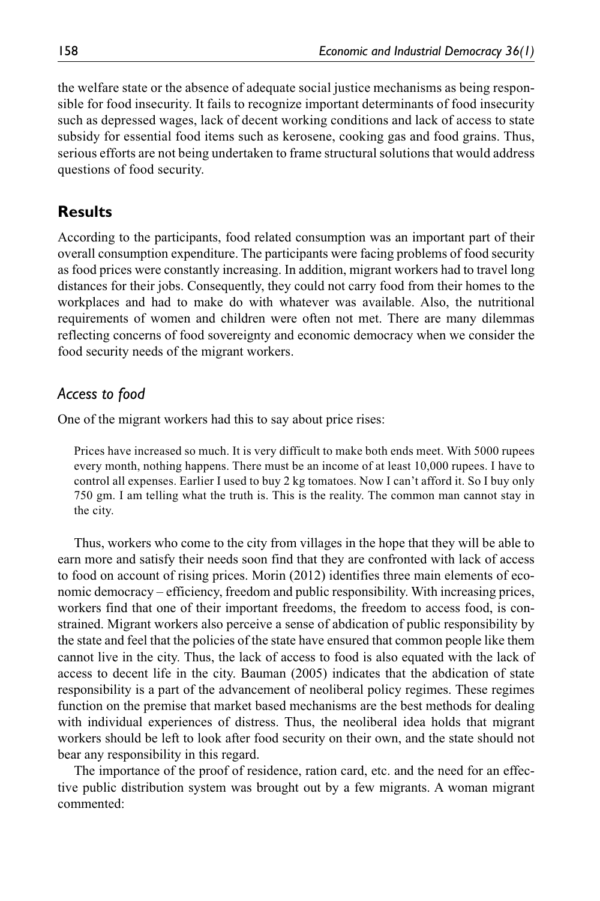the welfare state or the absence of adequate social justice mechanisms as being responsible for food insecurity. It fails to recognize important determinants of food insecurity such as depressed wages, lack of decent working conditions and lack of access to state subsidy for essential food items such as kerosene, cooking gas and food grains. Thus, serious efforts are not being undertaken to frame structural solutions that would address questions of food security.

# **Results**

According to the participants, food related consumption was an important part of their overall consumption expenditure. The participants were facing problems of food security as food prices were constantly increasing. In addition, migrant workers had to travel long distances for their jobs. Consequently, they could not carry food from their homes to the workplaces and had to make do with whatever was available. Also, the nutritional requirements of women and children were often not met. There are many dilemmas reflecting concerns of food sovereignty and economic democracy when we consider the food security needs of the migrant workers.

### *Access to food*

One of the migrant workers had this to say about price rises:

Prices have increased so much. It is very difficult to make both ends meet. With 5000 rupees every month, nothing happens. There must be an income of at least 10,000 rupees. I have to control all expenses. Earlier I used to buy 2 kg tomatoes. Now I can't afford it. So I buy only 750 gm. I am telling what the truth is. This is the reality. The common man cannot stay in the city.

Thus, workers who come to the city from villages in the hope that they will be able to earn more and satisfy their needs soon find that they are confronted with lack of access to food on account of rising prices. Morin (2012) identifies three main elements of economic democracy – efficiency, freedom and public responsibility. With increasing prices, workers find that one of their important freedoms, the freedom to access food, is constrained. Migrant workers also perceive a sense of abdication of public responsibility by the state and feel that the policies of the state have ensured that common people like them cannot live in the city. Thus, the lack of access to food is also equated with the lack of access to decent life in the city. Bauman (2005) indicates that the abdication of state responsibility is a part of the advancement of neoliberal policy regimes. These regimes function on the premise that market based mechanisms are the best methods for dealing with individual experiences of distress. Thus, the neoliberal idea holds that migrant workers should be left to look after food security on their own, and the state should not bear any responsibility in this regard.

The importance of the proof of residence, ration card, etc. and the need for an effective public distribution system was brought out by a few migrants. A woman migrant commented: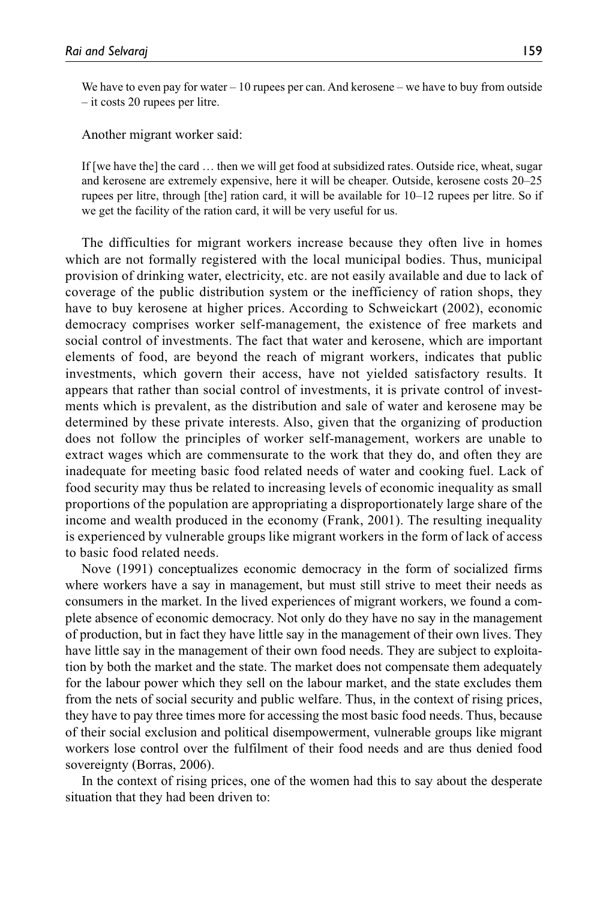We have to even pay for water  $-10$  rupees per can. And kerosene  $-$  we have to buy from outside – it costs 20 rupees per litre.

Another migrant worker said:

If [we have the] the card … then we will get food at subsidized rates. Outside rice, wheat, sugar and kerosene are extremely expensive, here it will be cheaper. Outside, kerosene costs 20–25 rupees per litre, through [the] ration card, it will be available for 10–12 rupees per litre. So if we get the facility of the ration card, it will be very useful for us.

The difficulties for migrant workers increase because they often live in homes which are not formally registered with the local municipal bodies. Thus, municipal provision of drinking water, electricity, etc. are not easily available and due to lack of coverage of the public distribution system or the inefficiency of ration shops, they have to buy kerosene at higher prices. According to Schweickart (2002), economic democracy comprises worker self-management, the existence of free markets and social control of investments. The fact that water and kerosene, which are important elements of food, are beyond the reach of migrant workers, indicates that public investments, which govern their access, have not yielded satisfactory results. It appears that rather than social control of investments, it is private control of investments which is prevalent, as the distribution and sale of water and kerosene may be determined by these private interests. Also, given that the organizing of production does not follow the principles of worker self-management, workers are unable to extract wages which are commensurate to the work that they do, and often they are inadequate for meeting basic food related needs of water and cooking fuel. Lack of food security may thus be related to increasing levels of economic inequality as small proportions of the population are appropriating a disproportionately large share of the income and wealth produced in the economy (Frank, 2001). The resulting inequality is experienced by vulnerable groups like migrant workers in the form of lack of access to basic food related needs.

Nove (1991) conceptualizes economic democracy in the form of socialized firms where workers have a say in management, but must still strive to meet their needs as consumers in the market. In the lived experiences of migrant workers, we found a complete absence of economic democracy. Not only do they have no say in the management of production, but in fact they have little say in the management of their own lives. They have little say in the management of their own food needs. They are subject to exploitation by both the market and the state. The market does not compensate them adequately for the labour power which they sell on the labour market, and the state excludes them from the nets of social security and public welfare. Thus, in the context of rising prices, they have to pay three times more for accessing the most basic food needs. Thus, because of their social exclusion and political disempowerment, vulnerable groups like migrant workers lose control over the fulfilment of their food needs and are thus denied food sovereignty (Borras, 2006).

In the context of rising prices, one of the women had this to say about the desperate situation that they had been driven to: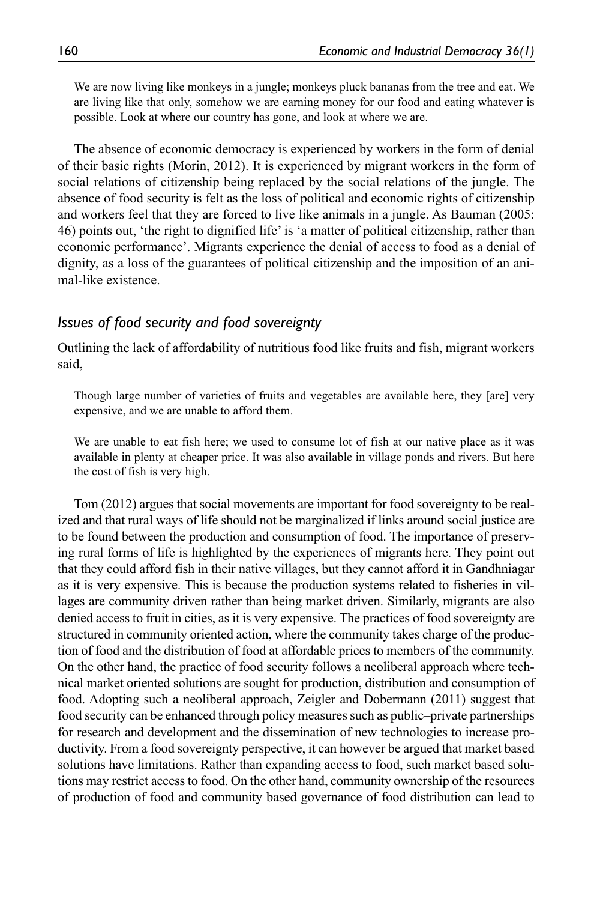We are now living like monkeys in a jungle; monkeys pluck bananas from the tree and eat. We are living like that only, somehow we are earning money for our food and eating whatever is possible. Look at where our country has gone, and look at where we are.

The absence of economic democracy is experienced by workers in the form of denial of their basic rights (Morin, 2012). It is experienced by migrant workers in the form of social relations of citizenship being replaced by the social relations of the jungle. The absence of food security is felt as the loss of political and economic rights of citizenship and workers feel that they are forced to live like animals in a jungle. As Bauman (2005: 46) points out, 'the right to dignified life' is 'a matter of political citizenship, rather than economic performance'. Migrants experience the denial of access to food as a denial of dignity, as a loss of the guarantees of political citizenship and the imposition of an animal-like existence.

## *Issues of food security and food sovereignty*

Outlining the lack of affordability of nutritious food like fruits and fish, migrant workers said,

Though large number of varieties of fruits and vegetables are available here, they [are] very expensive, and we are unable to afford them.

We are unable to eat fish here; we used to consume lot of fish at our native place as it was available in plenty at cheaper price. It was also available in village ponds and rivers. But here the cost of fish is very high.

Tom (2012) argues that social movements are important for food sovereignty to be realized and that rural ways of life should not be marginalized if links around social justice are to be found between the production and consumption of food. The importance of preserving rural forms of life is highlighted by the experiences of migrants here. They point out that they could afford fish in their native villages, but they cannot afford it in Gandhniagar as it is very expensive. This is because the production systems related to fisheries in villages are community driven rather than being market driven. Similarly, migrants are also denied access to fruit in cities, as it is very expensive. The practices of food sovereignty are structured in community oriented action, where the community takes charge of the production of food and the distribution of food at affordable prices to members of the community. On the other hand, the practice of food security follows a neoliberal approach where technical market oriented solutions are sought for production, distribution and consumption of food. Adopting such a neoliberal approach, Zeigler and Dobermann (2011) suggest that food security can be enhanced through policy measures such as public–private partnerships for research and development and the dissemination of new technologies to increase productivity. From a food sovereignty perspective, it can however be argued that market based solutions have limitations. Rather than expanding access to food, such market based solutions may restrict access to food. On the other hand, community ownership of the resources of production of food and community based governance of food distribution can lead to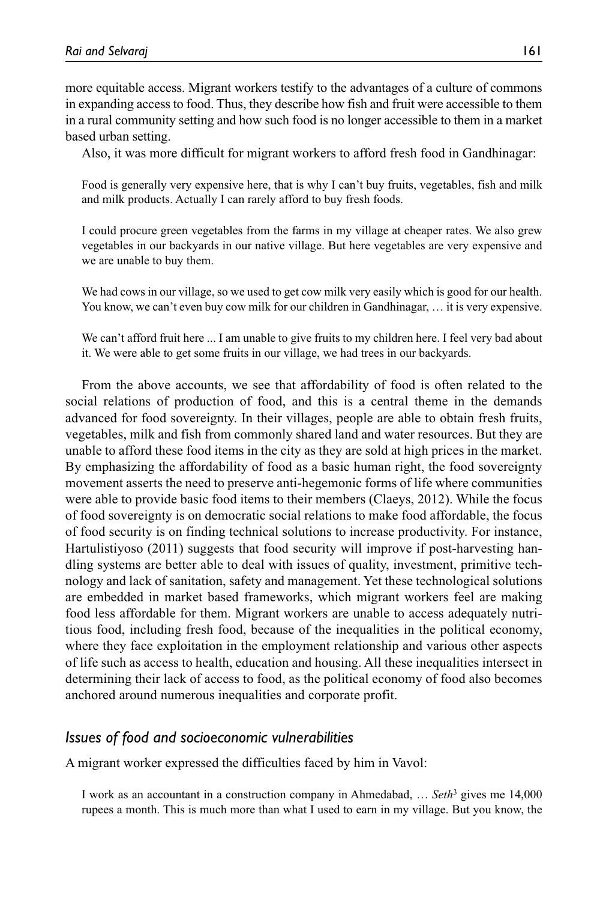more equitable access. Migrant workers testify to the advantages of a culture of commons in expanding access to food. Thus, they describe how fish and fruit were accessible to them in a rural community setting and how such food is no longer accessible to them in a market based urban setting.

Also, it was more difficult for migrant workers to afford fresh food in Gandhinagar:

Food is generally very expensive here, that is why I can't buy fruits, vegetables, fish and milk and milk products. Actually I can rarely afford to buy fresh foods.

I could procure green vegetables from the farms in my village at cheaper rates. We also grew vegetables in our backyards in our native village. But here vegetables are very expensive and we are unable to buy them.

We had cows in our village, so we used to get cow milk very easily which is good for our health. You know, we can't even buy cow milk for our children in Gandhinagar, ... it is very expensive.

We can't afford fruit here ... I am unable to give fruits to my children here. I feel very bad about it. We were able to get some fruits in our village, we had trees in our backyards.

From the above accounts, we see that affordability of food is often related to the social relations of production of food, and this is a central theme in the demands advanced for food sovereignty. In their villages, people are able to obtain fresh fruits, vegetables, milk and fish from commonly shared land and water resources. But they are unable to afford these food items in the city as they are sold at high prices in the market. By emphasizing the affordability of food as a basic human right, the food sovereignty movement asserts the need to preserve anti-hegemonic forms of life where communities were able to provide basic food items to their members (Claeys, 2012). While the focus of food sovereignty is on democratic social relations to make food affordable, the focus of food security is on finding technical solutions to increase productivity. For instance, Hartulistiyoso (2011) suggests that food security will improve if post-harvesting handling systems are better able to deal with issues of quality, investment, primitive technology and lack of sanitation, safety and management. Yet these technological solutions are embedded in market based frameworks, which migrant workers feel are making food less affordable for them. Migrant workers are unable to access adequately nutritious food, including fresh food, because of the inequalities in the political economy, where they face exploitation in the employment relationship and various other aspects of life such as access to health, education and housing. All these inequalities intersect in determining their lack of access to food, as the political economy of food also becomes anchored around numerous inequalities and corporate profit.

#### *Issues of food and socioeconomic vulnerabilities*

A migrant worker expressed the difficulties faced by him in Vavol:

I work as an accountant in a construction company in Ahmedabad, … *Seth*<sup>3</sup> gives me 14,000 rupees a month. This is much more than what I used to earn in my village. But you know, the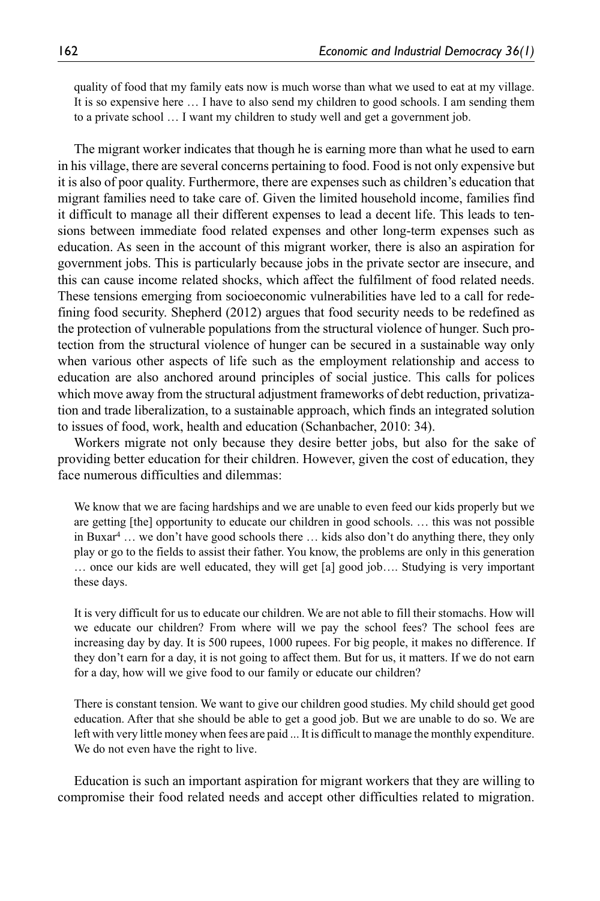quality of food that my family eats now is much worse than what we used to eat at my village. It is so expensive here … I have to also send my children to good schools. I am sending them to a private school … I want my children to study well and get a government job.

The migrant worker indicates that though he is earning more than what he used to earn in his village, there are several concerns pertaining to food. Food is not only expensive but it is also of poor quality. Furthermore, there are expenses such as children's education that migrant families need to take care of. Given the limited household income, families find it difficult to manage all their different expenses to lead a decent life. This leads to tensions between immediate food related expenses and other long-term expenses such as education. As seen in the account of this migrant worker, there is also an aspiration for government jobs. This is particularly because jobs in the private sector are insecure, and this can cause income related shocks, which affect the fulfilment of food related needs. These tensions emerging from socioeconomic vulnerabilities have led to a call for redefining food security. Shepherd (2012) argues that food security needs to be redefined as the protection of vulnerable populations from the structural violence of hunger. Such protection from the structural violence of hunger can be secured in a sustainable way only when various other aspects of life such as the employment relationship and access to education are also anchored around principles of social justice. This calls for polices which move away from the structural adjustment frameworks of debt reduction, privatization and trade liberalization, to a sustainable approach, which finds an integrated solution to issues of food, work, health and education (Schanbacher, 2010: 34).

Workers migrate not only because they desire better jobs, but also for the sake of providing better education for their children. However, given the cost of education, they face numerous difficulties and dilemmas:

We know that we are facing hardships and we are unable to even feed our kids properly but we are getting [the] opportunity to educate our children in good schools. … this was not possible in Buxar<sup>4</sup> … we don't have good schools there … kids also don't do anything there, they only play or go to the fields to assist their father. You know, the problems are only in this generation … once our kids are well educated, they will get [a] good job…. Studying is very important these days.

It is very difficult for us to educate our children. We are not able to fill their stomachs. How will we educate our children? From where will we pay the school fees? The school fees are increasing day by day. It is 500 rupees, 1000 rupees. For big people, it makes no difference. If they don't earn for a day, it is not going to affect them. But for us, it matters. If we do not earn for a day, how will we give food to our family or educate our children?

There is constant tension. We want to give our children good studies. My child should get good education. After that she should be able to get a good job. But we are unable to do so. We are left with very little money when fees are paid ... It is difficult to manage the monthly expenditure. We do not even have the right to live.

Education is such an important aspiration for migrant workers that they are willing to compromise their food related needs and accept other difficulties related to migration.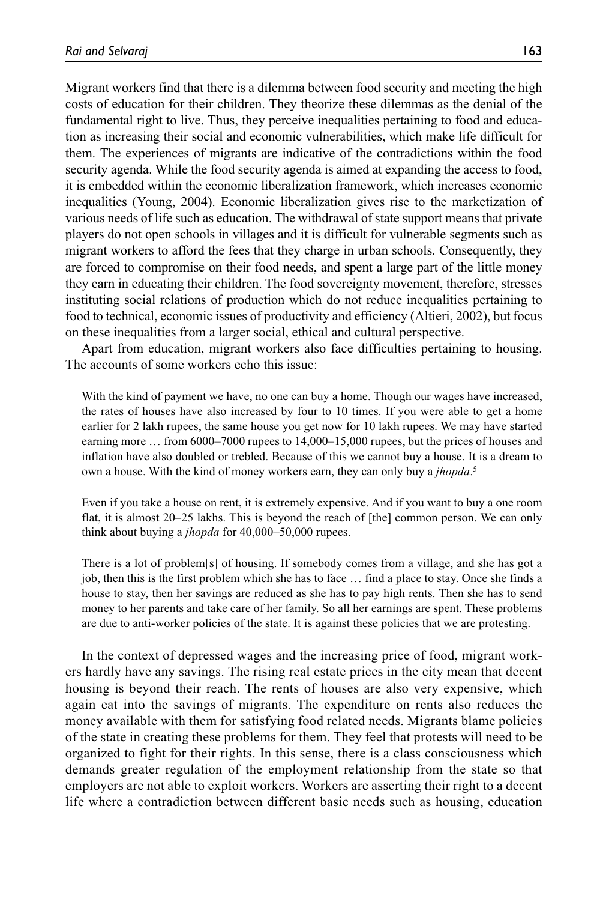Migrant workers find that there is a dilemma between food security and meeting the high costs of education for their children. They theorize these dilemmas as the denial of the fundamental right to live. Thus, they perceive inequalities pertaining to food and education as increasing their social and economic vulnerabilities, which make life difficult for them. The experiences of migrants are indicative of the contradictions within the food security agenda. While the food security agenda is aimed at expanding the access to food, it is embedded within the economic liberalization framework, which increases economic inequalities (Young, 2004). Economic liberalization gives rise to the marketization of various needs of life such as education. The withdrawal of state support means that private players do not open schools in villages and it is difficult for vulnerable segments such as migrant workers to afford the fees that they charge in urban schools. Consequently, they are forced to compromise on their food needs, and spent a large part of the little money they earn in educating their children. The food sovereignty movement, therefore, stresses instituting social relations of production which do not reduce inequalities pertaining to food to technical, economic issues of productivity and efficiency (Altieri, 2002), but focus on these inequalities from a larger social, ethical and cultural perspective.

Apart from education, migrant workers also face difficulties pertaining to housing. The accounts of some workers echo this issue:

With the kind of payment we have, no one can buy a home. Though our wages have increased, the rates of houses have also increased by four to 10 times. If you were able to get a home earlier for 2 lakh rupees, the same house you get now for 10 lakh rupees. We may have started earning more … from 6000–7000 rupees to 14,000–15,000 rupees, but the prices of houses and inflation have also doubled or trebled. Because of this we cannot buy a house. It is a dream to own a house. With the kind of money workers earn, they can only buy a *jhopda*. 5

Even if you take a house on rent, it is extremely expensive. And if you want to buy a one room flat, it is almost 20–25 lakhs. This is beyond the reach of [the] common person. We can only think about buying a *jhopda* for 40,000–50,000 rupees.

There is a lot of problem[s] of housing. If somebody comes from a village, and she has got a job, then this is the first problem which she has to face … find a place to stay. Once she finds a house to stay, then her savings are reduced as she has to pay high rents. Then she has to send money to her parents and take care of her family. So all her earnings are spent. These problems are due to anti-worker policies of the state. It is against these policies that we are protesting.

In the context of depressed wages and the increasing price of food, migrant workers hardly have any savings. The rising real estate prices in the city mean that decent housing is beyond their reach. The rents of houses are also very expensive, which again eat into the savings of migrants. The expenditure on rents also reduces the money available with them for satisfying food related needs. Migrants blame policies of the state in creating these problems for them. They feel that protests will need to be organized to fight for their rights. In this sense, there is a class consciousness which demands greater regulation of the employment relationship from the state so that employers are not able to exploit workers. Workers are asserting their right to a decent life where a contradiction between different basic needs such as housing, education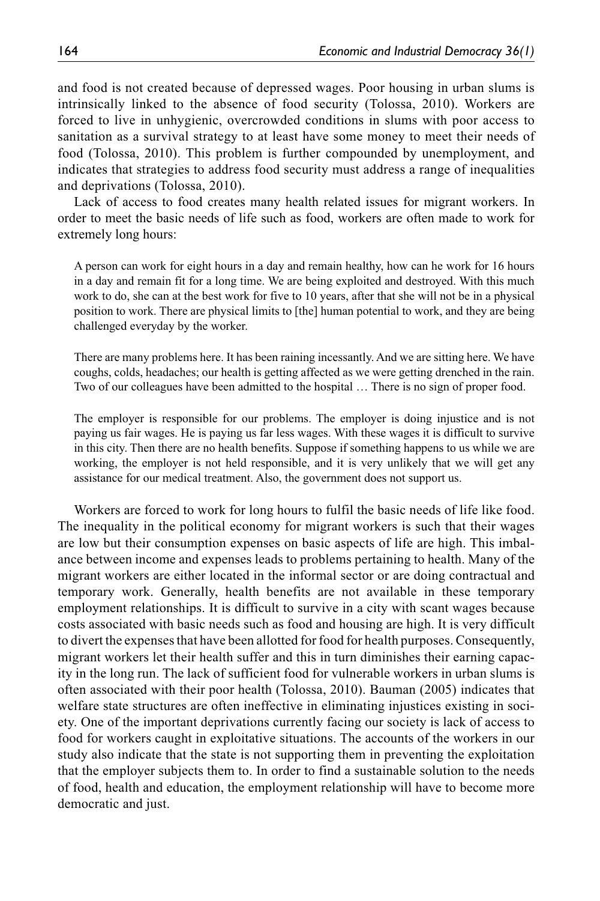and food is not created because of depressed wages. Poor housing in urban slums is intrinsically linked to the absence of food security (Tolossa, 2010). Workers are forced to live in unhygienic, overcrowded conditions in slums with poor access to sanitation as a survival strategy to at least have some money to meet their needs of food (Tolossa, 2010). This problem is further compounded by unemployment, and indicates that strategies to address food security must address a range of inequalities and deprivations (Tolossa, 2010).

Lack of access to food creates many health related issues for migrant workers. In order to meet the basic needs of life such as food, workers are often made to work for extremely long hours:

A person can work for eight hours in a day and remain healthy, how can he work for 16 hours in a day and remain fit for a long time. We are being exploited and destroyed. With this much work to do, she can at the best work for five to 10 years, after that she will not be in a physical position to work. There are physical limits to [the] human potential to work, and they are being challenged everyday by the worker.

There are many problems here. It has been raining incessantly. And we are sitting here. We have coughs, colds, headaches; our health is getting affected as we were getting drenched in the rain. Two of our colleagues have been admitted to the hospital … There is no sign of proper food.

The employer is responsible for our problems. The employer is doing injustice and is not paying us fair wages. He is paying us far less wages. With these wages it is difficult to survive in this city. Then there are no health benefits. Suppose if something happens to us while we are working, the employer is not held responsible, and it is very unlikely that we will get any assistance for our medical treatment. Also, the government does not support us.

Workers are forced to work for long hours to fulfil the basic needs of life like food. The inequality in the political economy for migrant workers is such that their wages are low but their consumption expenses on basic aspects of life are high. This imbalance between income and expenses leads to problems pertaining to health. Many of the migrant workers are either located in the informal sector or are doing contractual and temporary work. Generally, health benefits are not available in these temporary employment relationships. It is difficult to survive in a city with scant wages because costs associated with basic needs such as food and housing are high. It is very difficult to divert the expenses that have been allotted for food for health purposes. Consequently, migrant workers let their health suffer and this in turn diminishes their earning capacity in the long run. The lack of sufficient food for vulnerable workers in urban slums is often associated with their poor health (Tolossa, 2010). Bauman (2005) indicates that welfare state structures are often ineffective in eliminating injustices existing in society. One of the important deprivations currently facing our society is lack of access to food for workers caught in exploitative situations. The accounts of the workers in our study also indicate that the state is not supporting them in preventing the exploitation that the employer subjects them to. In order to find a sustainable solution to the needs of food, health and education, the employment relationship will have to become more democratic and just.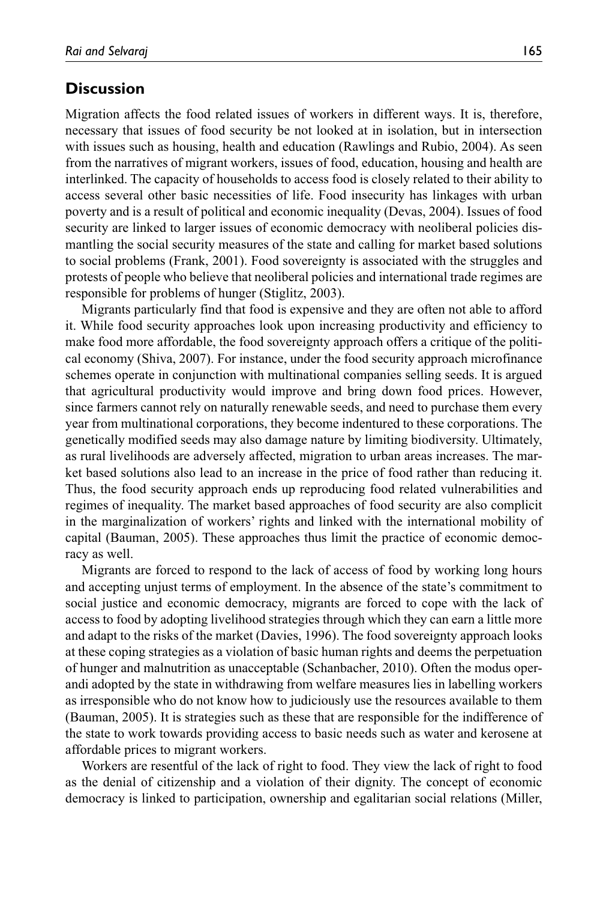#### **Discussion**

Migration affects the food related issues of workers in different ways. It is, therefore, necessary that issues of food security be not looked at in isolation, but in intersection with issues such as housing, health and education (Rawlings and Rubio, 2004). As seen from the narratives of migrant workers, issues of food, education, housing and health are interlinked. The capacity of households to access food is closely related to their ability to access several other basic necessities of life. Food insecurity has linkages with urban poverty and is a result of political and economic inequality (Devas, 2004). Issues of food security are linked to larger issues of economic democracy with neoliberal policies dismantling the social security measures of the state and calling for market based solutions to social problems (Frank, 2001). Food sovereignty is associated with the struggles and protests of people who believe that neoliberal policies and international trade regimes are responsible for problems of hunger (Stiglitz, 2003).

Migrants particularly find that food is expensive and they are often not able to afford it. While food security approaches look upon increasing productivity and efficiency to make food more affordable, the food sovereignty approach offers a critique of the political economy (Shiva, 2007). For instance, under the food security approach microfinance schemes operate in conjunction with multinational companies selling seeds. It is argued that agricultural productivity would improve and bring down food prices. However, since farmers cannot rely on naturally renewable seeds, and need to purchase them every year from multinational corporations, they become indentured to these corporations. The genetically modified seeds may also damage nature by limiting biodiversity. Ultimately, as rural livelihoods are adversely affected, migration to urban areas increases. The market based solutions also lead to an increase in the price of food rather than reducing it. Thus, the food security approach ends up reproducing food related vulnerabilities and regimes of inequality. The market based approaches of food security are also complicit in the marginalization of workers' rights and linked with the international mobility of capital (Bauman, 2005). These approaches thus limit the practice of economic democracy as well.

Migrants are forced to respond to the lack of access of food by working long hours and accepting unjust terms of employment. In the absence of the state's commitment to social justice and economic democracy, migrants are forced to cope with the lack of access to food by adopting livelihood strategies through which they can earn a little more and adapt to the risks of the market (Davies, 1996). The food sovereignty approach looks at these coping strategies as a violation of basic human rights and deems the perpetuation of hunger and malnutrition as unacceptable (Schanbacher, 2010). Often the modus operandi adopted by the state in withdrawing from welfare measures lies in labelling workers as irresponsible who do not know how to judiciously use the resources available to them (Bauman, 2005). It is strategies such as these that are responsible for the indifference of the state to work towards providing access to basic needs such as water and kerosene at affordable prices to migrant workers.

Workers are resentful of the lack of right to food. They view the lack of right to food as the denial of citizenship and a violation of their dignity. The concept of economic democracy is linked to participation, ownership and egalitarian social relations (Miller,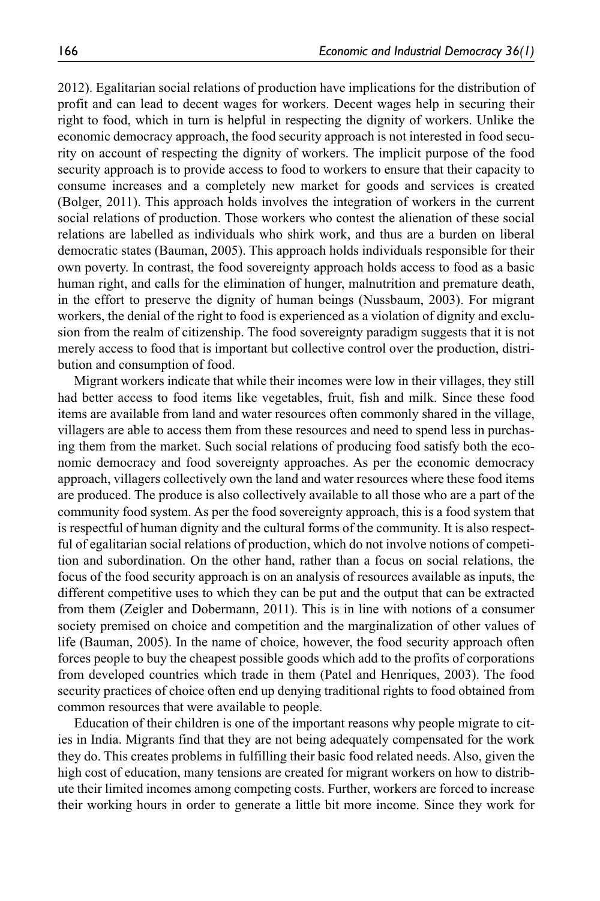2012). Egalitarian social relations of production have implications for the distribution of profit and can lead to decent wages for workers. Decent wages help in securing their right to food, which in turn is helpful in respecting the dignity of workers. Unlike the economic democracy approach, the food security approach is not interested in food security on account of respecting the dignity of workers. The implicit purpose of the food security approach is to provide access to food to workers to ensure that their capacity to consume increases and a completely new market for goods and services is created (Bolger, 2011). This approach holds involves the integration of workers in the current social relations of production. Those workers who contest the alienation of these social relations are labelled as individuals who shirk work, and thus are a burden on liberal democratic states (Bauman, 2005). This approach holds individuals responsible for their own poverty. In contrast, the food sovereignty approach holds access to food as a basic human right, and calls for the elimination of hunger, malnutrition and premature death, in the effort to preserve the dignity of human beings (Nussbaum, 2003). For migrant workers, the denial of the right to food is experienced as a violation of dignity and exclusion from the realm of citizenship. The food sovereignty paradigm suggests that it is not merely access to food that is important but collective control over the production, distribution and consumption of food.

Migrant workers indicate that while their incomes were low in their villages, they still had better access to food items like vegetables, fruit, fish and milk. Since these food items are available from land and water resources often commonly shared in the village, villagers are able to access them from these resources and need to spend less in purchasing them from the market. Such social relations of producing food satisfy both the economic democracy and food sovereignty approaches. As per the economic democracy approach, villagers collectively own the land and water resources where these food items are produced. The produce is also collectively available to all those who are a part of the community food system. As per the food sovereignty approach, this is a food system that is respectful of human dignity and the cultural forms of the community. It is also respectful of egalitarian social relations of production, which do not involve notions of competition and subordination. On the other hand, rather than a focus on social relations, the focus of the food security approach is on an analysis of resources available as inputs, the different competitive uses to which they can be put and the output that can be extracted from them (Zeigler and Dobermann, 2011). This is in line with notions of a consumer society premised on choice and competition and the marginalization of other values of life (Bauman, 2005). In the name of choice, however, the food security approach often forces people to buy the cheapest possible goods which add to the profits of corporations from developed countries which trade in them (Patel and Henriques, 2003). The food security practices of choice often end up denying traditional rights to food obtained from common resources that were available to people.

Education of their children is one of the important reasons why people migrate to cities in India. Migrants find that they are not being adequately compensated for the work they do. This creates problems in fulfilling their basic food related needs. Also, given the high cost of education, many tensions are created for migrant workers on how to distribute their limited incomes among competing costs. Further, workers are forced to increase their working hours in order to generate a little bit more income. Since they work for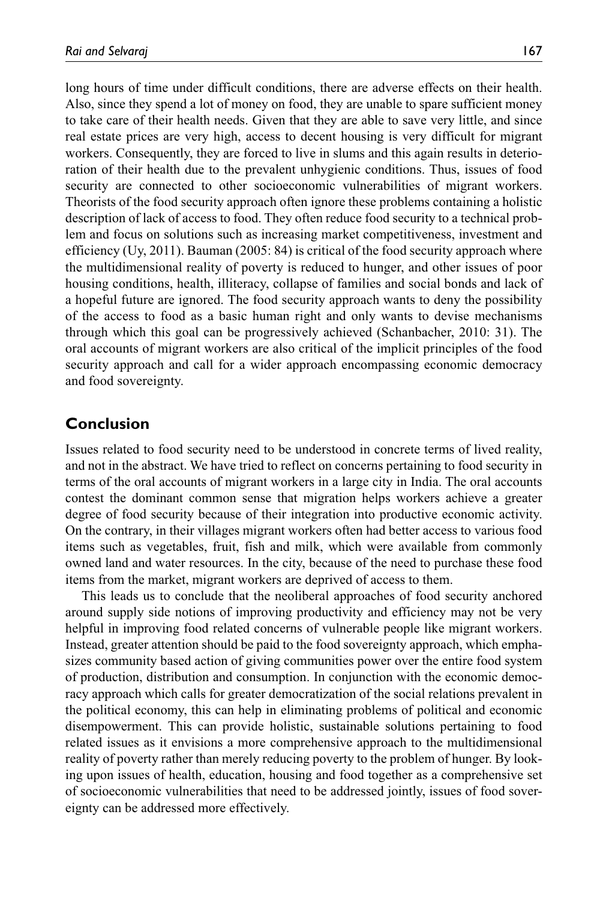long hours of time under difficult conditions, there are adverse effects on their health. Also, since they spend a lot of money on food, they are unable to spare sufficient money to take care of their health needs. Given that they are able to save very little, and since real estate prices are very high, access to decent housing is very difficult for migrant workers. Consequently, they are forced to live in slums and this again results in deterioration of their health due to the prevalent unhygienic conditions. Thus, issues of food security are connected to other socioeconomic vulnerabilities of migrant workers. Theorists of the food security approach often ignore these problems containing a holistic description of lack of access to food. They often reduce food security to a technical problem and focus on solutions such as increasing market competitiveness, investment and efficiency (Uy, 2011). Bauman (2005: 84) is critical of the food security approach where the multidimensional reality of poverty is reduced to hunger, and other issues of poor housing conditions, health, illiteracy, collapse of families and social bonds and lack of a hopeful future are ignored. The food security approach wants to deny the possibility of the access to food as a basic human right and only wants to devise mechanisms through which this goal can be progressively achieved (Schanbacher, 2010: 31). The oral accounts of migrant workers are also critical of the implicit principles of the food security approach and call for a wider approach encompassing economic democracy and food sovereignty.

# **Conclusion**

Issues related to food security need to be understood in concrete terms of lived reality, and not in the abstract. We have tried to reflect on concerns pertaining to food security in terms of the oral accounts of migrant workers in a large city in India. The oral accounts contest the dominant common sense that migration helps workers achieve a greater degree of food security because of their integration into productive economic activity. On the contrary, in their villages migrant workers often had better access to various food items such as vegetables, fruit, fish and milk, which were available from commonly owned land and water resources. In the city, because of the need to purchase these food items from the market, migrant workers are deprived of access to them.

This leads us to conclude that the neoliberal approaches of food security anchored around supply side notions of improving productivity and efficiency may not be very helpful in improving food related concerns of vulnerable people like migrant workers. Instead, greater attention should be paid to the food sovereignty approach, which emphasizes community based action of giving communities power over the entire food system of production, distribution and consumption. In conjunction with the economic democracy approach which calls for greater democratization of the social relations prevalent in the political economy, this can help in eliminating problems of political and economic disempowerment. This can provide holistic, sustainable solutions pertaining to food related issues as it envisions a more comprehensive approach to the multidimensional reality of poverty rather than merely reducing poverty to the problem of hunger. By looking upon issues of health, education, housing and food together as a comprehensive set of socioeconomic vulnerabilities that need to be addressed jointly, issues of food sovereignty can be addressed more effectively.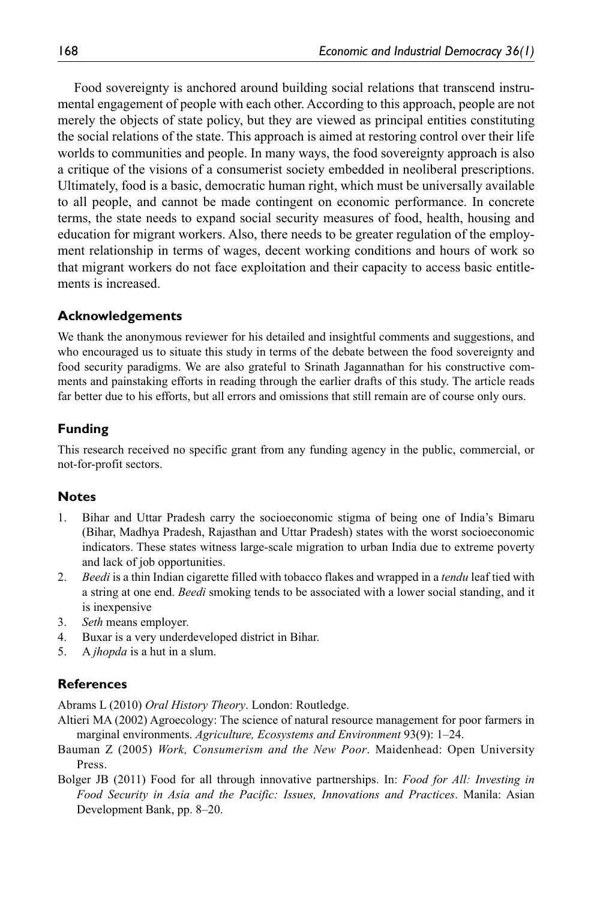Food sovereignty is anchored around building social relations that transcend instrumental engagement of people with each other. According to this approach, people are not merely the objects of state policy, but they are viewed as principal entities constituting the social relations of the state. This approach is aimed at restoring control over their life worlds to communities and people. In many ways, the food sovereignty approach is also a critique of the visions of a consumerist society embedded in neoliberal prescriptions. Ultimately, food is a basic, democratic human right, which must be universally available to all people, and cannot be made contingent on economic performance. In concrete terms, the state needs to expand social security measures of food, health, housing and education for migrant workers. Also, there needs to be greater regulation of the employment relationship in terms of wages, decent working conditions and hours of work so that migrant workers do not face exploitation and their capacity to access basic entitlements is increased.

#### **Acknowledgements**

We thank the anonymous reviewer for his detailed and insightful comments and suggestions, and who encouraged us to situate this study in terms of the debate between the food sovereignty and food security paradigms. We are also grateful to Srinath Jagannathan for his constructive comments and painstaking efforts in reading through the earlier drafts of this study. The article reads far better due to his efforts, but all errors and omissions that still remain are of course only ours.

#### **Funding**

This research received no specific grant from any funding agency in the public, commercial, or not-for-profit sectors.

#### **Notes**

- 1. Bihar and Uttar Pradesh carry the socioeconomic stigma of being one of India's Bimaru (Bihar, Madhya Pradesh, Rajasthan and Uttar Pradesh) states with the worst socioeconomic indicators. These states witness large-scale migration to urban India due to extreme poverty and lack of job opportunities.
- 2. *Beedi* is a thin Indian cigarette filled with tobacco flakes and wrapped in a *tendu* leaf tied with a string at one end. *Beedi* smoking tends to be associated with a lower social standing, and it is inexpensive
- 3. *Seth* means employer.
- 4. Buxar is a very underdeveloped district in Bihar.
- 5. A *jhopda* is a hut in a slum.

#### **References**

Abrams L (2010) *Oral History Theory*. London: Routledge.

- Altieri MA (2002) Agroecology: The science of natural resource management for poor farmers in marginal environments. *Agriculture, Ecosystems and Environment* 93(9): 1–24.
- Bauman Z (2005) *Work, Consumerism and the New Poor*. Maidenhead: Open University Press.
- Bolger JB (2011) Food for all through innovative partnerships. In: *Food for All: Investing in Food Security in Asia and the Pacific: Issues, Innovations and Practices*. Manila: Asian Development Bank, pp. 8–20.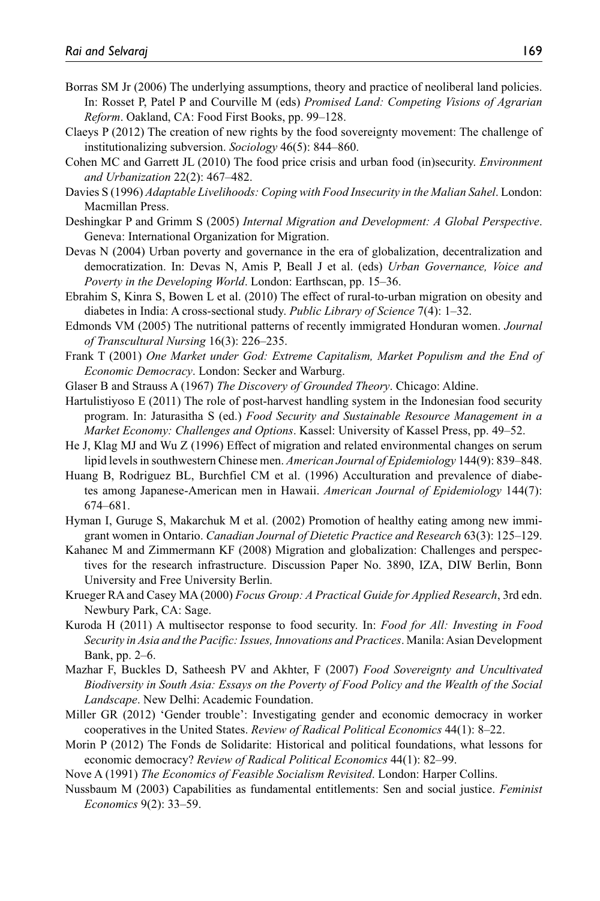- Borras SM Jr (2006) The underlying assumptions, theory and practice of neoliberal land policies. In: Rosset P, Patel P and Courville M (eds) *Promised Land: Competing Visions of Agrarian Reform*. Oakland, CA: Food First Books, pp. 99–128.
- Claeys P (2012) The creation of new rights by the food sovereignty movement: The challenge of institutionalizing subversion. *Sociology* 46(5): 844–860.
- Cohen MC and Garrett JL (2010) The food price crisis and urban food (in)security. *Environment and Urbanization* 22(2): 467–482.
- Davies S (1996) *Adaptable Livelihoods: Coping with Food Insecurity in the Malian Sahel*. London: Macmillan Press.
- Deshingkar P and Grimm S (2005) *Internal Migration and Development: A Global Perspective*. Geneva: International Organization for Migration.
- Devas N (2004) Urban poverty and governance in the era of globalization, decentralization and democratization. In: Devas N, Amis P, Beall J et al. (eds) *Urban Governance, Voice and Poverty in the Developing World*. London: Earthscan, pp. 15–36.
- Ebrahim S, Kinra S, Bowen L et al. (2010) The effect of rural-to-urban migration on obesity and diabetes in India: A cross-sectional study. *Public Library of Science* 7(4): 1–32.
- Edmonds VM (2005) The nutritional patterns of recently immigrated Honduran women. *Journal of Transcultural Nursing* 16(3): 226–235.
- Frank T (2001) *One Market under God: Extreme Capitalism, Market Populism and the End of Economic Democracy*. London: Secker and Warburg.
- Glaser B and Strauss A (1967) *The Discovery of Grounded Theory*. Chicago: Aldine.
- Hartulistiyoso E (2011) The role of post-harvest handling system in the Indonesian food security program. In: Jaturasitha S (ed.) *Food Security and Sustainable Resource Management in a Market Economy: Challenges and Options*. Kassel: University of Kassel Press, pp. 49–52.
- He J, Klag MJ and Wu Z (1996) Effect of migration and related environmental changes on serum lipid levels in southwestern Chinese men. *American Journal of Epidemiology* 144(9): 839–848.
- Huang B, Rodriguez BL, Burchfiel CM et al. (1996) Acculturation and prevalence of diabetes among Japanese-American men in Hawaii. *American Journal of Epidemiology* 144(7): 674–681.
- Hyman I, Guruge S, Makarchuk M et al. (2002) Promotion of healthy eating among new immigrant women in Ontario. *Canadian Journal of Dietetic Practice and Research* 63(3): 125–129.
- Kahanec M and Zimmermann KF (2008) Migration and globalization: Challenges and perspectives for the research infrastructure. Discussion Paper No. 3890, IZA, DIW Berlin, Bonn University and Free University Berlin.
- Krueger RA and Casey MA (2000) *Focus Group: A Practical Guide for Applied Research*, 3rd edn. Newbury Park, CA: Sage.
- Kuroda H (2011) A multisector response to food security. In: *Food for All: Investing in Food Security in Asia and the Pacific: Issues, Innovations and Practices*. Manila: Asian Development Bank, pp. 2–6.
- Mazhar F, Buckles D, Satheesh PV and Akhter, F (2007) *Food Sovereignty and Uncultivated Biodiversity in South Asia: Essays on the Poverty of Food Policy and the Wealth of the Social Landscape*. New Delhi: Academic Foundation.
- Miller GR (2012) 'Gender trouble': Investigating gender and economic democracy in worker cooperatives in the United States. *Review of Radical Political Economics* 44(1): 8–22.
- Morin P (2012) The Fonds de Solidarite: Historical and political foundations, what lessons for economic democracy? *Review of Radical Political Economics* 44(1): 82–99.

Nove A (1991) *The Economics of Feasible Socialism Revisited*. London: Harper Collins.

Nussbaum M (2003) Capabilities as fundamental entitlements: Sen and social justice. *Feminist Economics* 9(2): 33–59.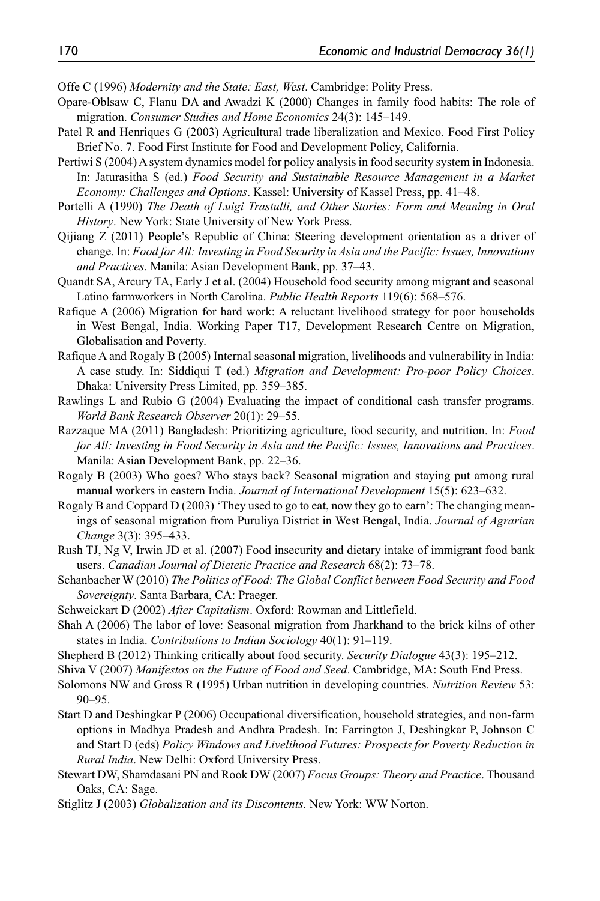Offe C (1996) *Modernity and the State: East, West*. Cambridge: Polity Press.

- Opare-Oblsaw C, Flanu DA and Awadzi K (2000) Changes in family food habits: The role of migration. *Consumer Studies and Home Economics* 24(3): 145–149.
- Patel R and Henriques G (2003) Agricultural trade liberalization and Mexico. Food First Policy Brief No. 7. Food First Institute for Food and Development Policy, California.
- Pertiwi S (2004) A system dynamics model for policy analysis in food security system in Indonesia. In: Jaturasitha S (ed.) *Food Security and Sustainable Resource Management in a Market Economy: Challenges and Options*. Kassel: University of Kassel Press, pp. 41–48.
- Portelli A (1990) *The Death of Luigi Trastulli, and Other Stories: Form and Meaning in Oral History*. New York: State University of New York Press.
- Qijiang Z (2011) People's Republic of China: Steering development orientation as a driver of change. In: *Food for All: Investing in Food Security in Asia and the Pacific: Issues, Innovations and Practices*. Manila: Asian Development Bank, pp. 37–43.
- Quandt SA, Arcury TA, Early J et al. (2004) Household food security among migrant and seasonal Latino farmworkers in North Carolina. *Public Health Reports* 119(6): 568–576.
- Rafique A (2006) Migration for hard work: A reluctant livelihood strategy for poor households in West Bengal, India. Working Paper T17, Development Research Centre on Migration, Globalisation and Poverty.
- Rafique A and Rogaly B (2005) Internal seasonal migration, livelihoods and vulnerability in India: A case study. In: Siddiqui T (ed.) *Migration and Development: Pro-poor Policy Choices*. Dhaka: University Press Limited, pp. 359–385.
- Rawlings L and Rubio G (2004) Evaluating the impact of conditional cash transfer programs. *World Bank Research Observer* 20(1): 29–55.
- Razzaque MA (2011) Bangladesh: Prioritizing agriculture, food security, and nutrition. In: *Food for All: Investing in Food Security in Asia and the Pacific: Issues, Innovations and Practices*. Manila: Asian Development Bank, pp. 22–36.
- Rogaly B (2003) Who goes? Who stays back? Seasonal migration and staying put among rural manual workers in eastern India. *Journal of International Development* 15(5): 623–632.
- Rogaly B and Coppard D (2003) 'They used to go to eat, now they go to earn': The changing meanings of seasonal migration from Puruliya District in West Bengal, India. *Journal of Agrarian Change* 3(3): 395–433.
- Rush TJ, Ng V, Irwin JD et al. (2007) Food insecurity and dietary intake of immigrant food bank users. *Canadian Journal of Dietetic Practice and Research* 68(2): 73–78.
- Schanbacher W (2010) *The Politics of Food: The Global Conflict between Food Security and Food Sovereignty*. Santa Barbara, CA: Praeger.
- Schweickart D (2002) *After Capitalism*. Oxford: Rowman and Littlefield.
- Shah A (2006) The labor of love: Seasonal migration from Jharkhand to the brick kilns of other states in India. *Contributions to Indian Sociology* 40(1): 91–119.
- Shepherd B (2012) Thinking critically about food security. *Security Dialogue* 43(3): 195–212.
- Shiva V (2007) *Manifestos on the Future of Food and Seed*. Cambridge, MA: South End Press.
- Solomons NW and Gross R (1995) Urban nutrition in developing countries. *Nutrition Review* 53: 90–95.
- Start D and Deshingkar P (2006) Occupational diversification, household strategies, and non-farm options in Madhya Pradesh and Andhra Pradesh. In: Farrington J, Deshingkar P, Johnson C and Start D (eds) *Policy Windows and Livelihood Futures: Prospects for Poverty Reduction in Rural India*. New Delhi: Oxford University Press.
- Stewart DW, Shamdasani PN and Rook DW (2007) *Focus Groups: Theory and Practice*. Thousand Oaks, CA: Sage.
- Stiglitz J (2003) *Globalization and its Discontents*. New York: WW Norton.